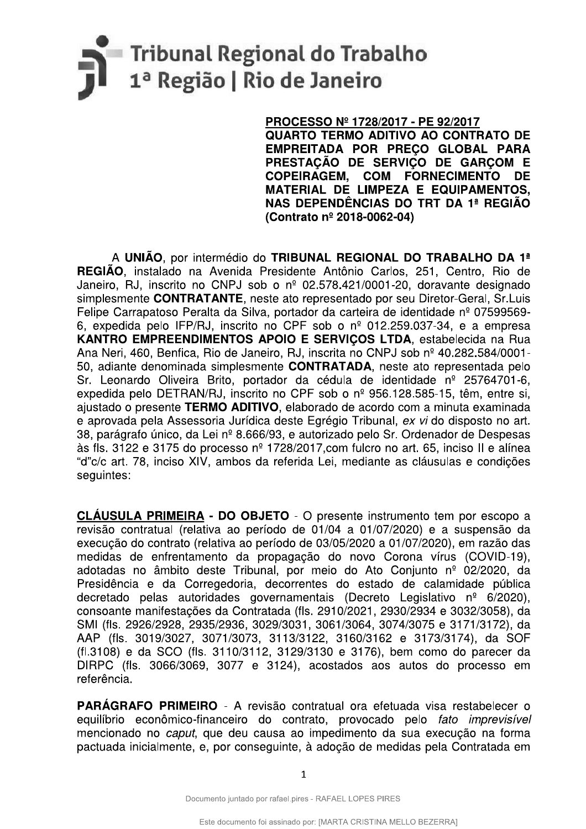### Tribunal Regional do Trabalho 1<sup>ª</sup> Região | Rio de Janeiro

PROCESSO № 1728/2017 - PE 92/2017 QUARTO TERMO ADITIVO AO CONTRATO DE EMPREITADA POR PRECO GLOBAL PARA PRESTAÇÃO DE SERVICO DE GARCOM E **COM FORNECIMENTO COPEIRAGEM, DE** MATERIAL DE LIMPEZA E EQUIPAMENTOS, NAS DEPENDÊNCIAS DO TRT DA 1ª REGIÃO (Contrato nº 2018-0062-04)

A UNIÃO, por intermédio do TRIBUNAL REGIONAL DO TRABALHO DA 1ª REGIÃO, instalado na Avenida Presidente Antônio Carlos, 251, Centro, Rio de Janeiro, RJ, inscrito no CNPJ sob o nº 02.578.421/0001-20, doravante designado simplesmente CONTRATANTE, neste ato representado por seu Diretor-Geral, Sr.Luis Felipe Carrapatoso Peralta da Silva, portador da carteira de identidade nº 07599569-6, expedida pelo IFP/RJ, inscrito no CPF sob o nº 012.259.037-34, e a empresa KANTRO EMPREENDIMENTOS APOIO E SERVICOS LTDA, estabelecida na Rua Ana Neri, 460, Benfica, Rio de Janeiro, RJ, inscrita no CNPJ sob nº 40.282.584/0001-50, adiante denominada simplesmente **CONTRATADA**, neste ato representada pelo Sr. Leonardo Oliveira Brito, portador da cédula de identidade nº 25764701-6, expedida pelo DETRAN/RJ, inscrito no CPF sob o nº 956.128.585-15, têm, entre si, ajustado o presente TERMO ADITIVO, elaborado de acordo com a minuta examinada e aprovada pela Assessoria Jurídica deste Egrégio Tribunal, ex vi do disposto no art. 38, parágrafo único, da Lei nº 8.666/93, e autorizado pelo Sr. Ordenador de Despesas às fls. 3122 e 3175 do processo nº 1728/2017, com fulcro no art. 65, inciso II e alínea "d"c/c art. 78, inciso XIV, ambos da referida Lei, mediante as cláusulas e condições sequintes:

CLÁUSULA PRIMEIRA - DO OBJETO - O presente instrumento tem por escopo a revisão contratual (relativa ao período de 01/04 a 01/07/2020) e a suspensão da execução do contrato (relativa ao período de 03/05/2020 a 01/07/2020), em razão das medidas de enfrentamento da propagação do novo Corona vírus (COVID-19), adotadas no âmbito deste Tribunal, por meio do Ato Conjunto nº 02/2020, da Presidência e da Corregedoria, decorrentes do estado de calamidade pública decretado pelas autoridades governamentais (Decreto Legislativo  $n^{\circ}$  6/2020), consoante manifestações da Contratada (fls. 2910/2021, 2930/2934 e 3032/3058), da SMI (fls. 2926/2928, 2935/2936, 3029/3031, 3061/3064, 3074/3075 e 3171/3172), da AAP (fls. 3019/3027, 3071/3073, 3113/3122, 3160/3162 e 3173/3174), da SOF (fl.3108) e da SCO (fls. 3110/3112, 3129/3130 e 3176), bem como do parecer da DIRPC (fls. 3066/3069, 3077 e 3124), acostados aos autos do processo em referência.

**PARÁGRAFO PRIMEIRO** - A revisão contratual ora efetuada visa restabelecer o equilíbrio econômico-financeiro do contrato, provocado pelo fato imprevisível mencionado no caput, que deu causa ao impedimento da sua execução na forma pactuada inicialmente, e, por conseguinte, à adoção de medidas pela Contratada em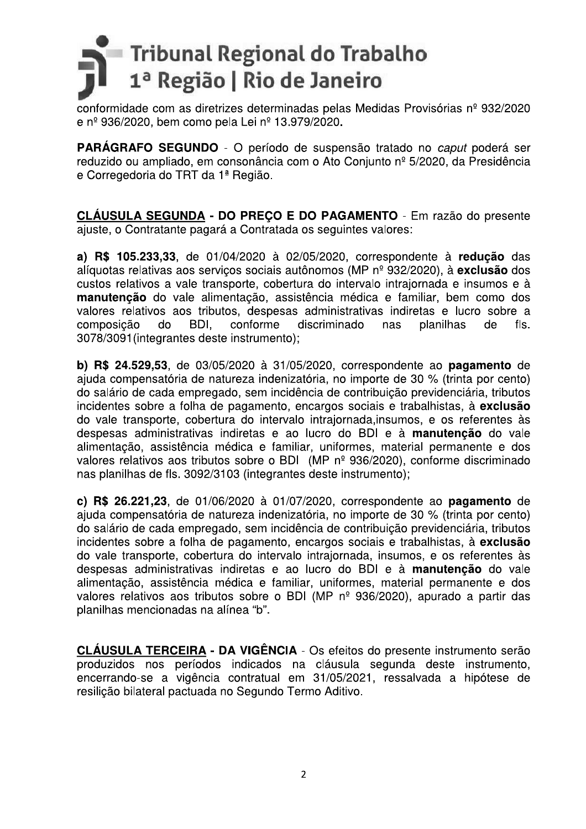## Tribunal Regional do Trabalho 1<sup>ª</sup> Região | Rio de Janeiro

conformidade com as diretrizes determinadas pelas Medidas Provisórias nº 932/2020 e nº 936/2020, bem como pela Lei nº 13.979/2020.

PARÁGRAFO SEGUNDO - O período de suspensão tratado no caput poderá ser reduzido ou ampliado, em consonância com o Ato Conjunto nº 5/2020, da Presidência e Corregedoria do TRT da 1ª Região.

CLÁUSULA SEGUNDA - DO PRECO E DO PAGAMENTO - Em razão do presente ajuste, o Contratante pagará a Contratada os seguintes valores:

a) R\$ 105.233.33. de 01/04/2020 à 02/05/2020. correspondente à reducão das alíquotas relativas aos serviços sociais autônomos (MP nº 932/2020), à exclusão dos custos relativos a vale transporte, cobertura do intervalo intrajornada e insumos e à manutenção do vale alimentação, assistência médica e familiar, bem como dos valores relativos aos tributos, despesas administrativas indiretas e lucro sobre a composicão do BDI. conforme discriminado nas planilhas de fls. 3078/3091 (integrantes deste instrumento);

b) R\$ 24.529,53, de 03/05/2020 à 31/05/2020, correspondente ao pagamento de ajuda compensatória de natureza indenizatória, no importe de 30 % (trinta por cento) do salário de cada empregado, sem incidência de contribuição previdenciária, tributos incidentes sobre a folha de pagamento, encargos sociais e trabalhistas, à exclusão do vale transporte, cobertura do intervalo intrajornada, insumos, e os referentes às despesas administrativas indiretas e ao lucro do BDI e à manutenção do vale alimentação, assistência médica e familiar, uniformes, material permanente e dos valores relativos aos tributos sobre o BDI (MP nº 936/2020), conforme discriminado nas planilhas de fls. 3092/3103 (integrantes deste instrumento);

c) R\$ 26.221,23, de 01/06/2020 à 01/07/2020, correspondente ao pagamento de ajuda compensatória de natureza indenizatória, no importe de 30 % (trinta por cento) do salário de cada empregado, sem incidência de contribuição previdenciária, tributos incidentes sobre a folha de pagamento, encargos sociais e trabalhistas, à exclusão do vale transporte, cobertura do intervalo intrajornada, insumos, e os referentes às despesas administrativas indiretas e ao lucro do BDI e à manutenção do vale alimentação, assistência médica e familiar, uniformes, material permanente e dos valores relativos aos tributos sobre o BDI (MP nº 936/2020), apurado a partir das planilhas mencionadas na alínea "b".

CLÁUSULA TERCEIRA - DA VIGÊNCIA - Os efeitos do presente instrumento serão produzidos nos períodos indicados na cláusula segunda deste instrumento, encerrando-se a vigência contratual em 31/05/2021, ressalvada a hipótese de resilição bilateral pactuada no Segundo Termo Aditivo.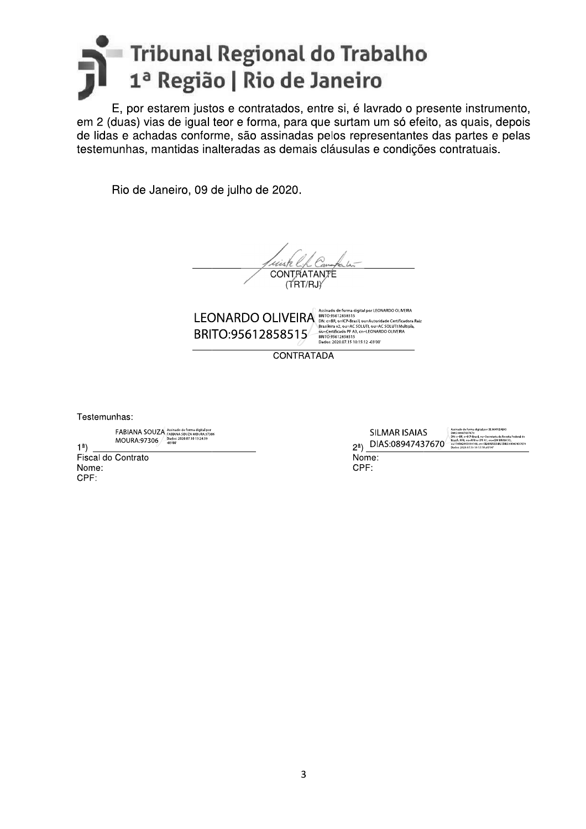# Tribunal Regional do Trabalho<br>1ª Região | Rio de Janeiro

 $\begin{array}{c} \begin{array}{c} \hline \end{array} \mathsf{C} \end{array}$ , por estarem justos e contratados, entre si, e lavrado o pre em 2 (quas) vias de igual teor é forma, para que surtam um so éfeito, as quais, depois de lidas e achadas conforme, são assinadas pelos representantes das partes e pelas testemunnas, mantidas inalteradas as demais clausulas e condições contratuais.  $\mathbf{r}$ presente instrumento,

 $\frac{1}{2}$ Rio de Janeiro, 09 de juino de 2020.

 Juiste life Canopartin  $\text{CONI} \cancel{\text{RAI}}$  AN/E  $(TRT/RJ)$ 

# LEONARDO OLIVEIRA<br>
<sup>A ANG</sup>ERICA (1978-1978) DIAS-1020-2000 ANGELEONARIO OLIVEIRA<br>
BRITO:95612858515<br>
<sup>Angel</sup>ecentrador PA3-microanado contrador PA3-microanado contrador<br>
CONTRATADA<br>
CONTRATADA<br>
CONTRATADA<br>
CONTRATADA<br>
CONT

ou=Certificado PF A3, cn=CEONARDO OLIVEIRA<br>BRITO:95612858515<br>Dados: 2020.07.15 10:15:12 -03'00'

 CONTRATADA

Testemunnas:

!" Hiscal do Contrato Nome: CPF:

 $\begin{array}{c|c|c|c|c|c} \hline \textbf{SILMARI SAIAS} & \begin{array}{c} \textbf{SILMARI} & \begin{array}{c} \textbf{SILMARI} & \begin{array}{c} \textbf{SALMIST} & \begin{array}{c} \textbf{SALMIST} & \begin{array}{c} \textbf{SALMIST} & \begin{array}{c} \textbf{SALMIST} & \begin{array}{c} \textbf{SALMIST} & \begin{array}{c} \textbf{SALMIST} & \textbf{SALMIST} & \textbf{SALMIST} & \textbf{SALMIST} & \textbf{SALMIST} \end{array} \end{array} \end$ SILMAR ISAIAS

Nome:<br>CPF:  $\mathsf{CPF}^*$  . The contract of  $\mathsf{CPF}^*$